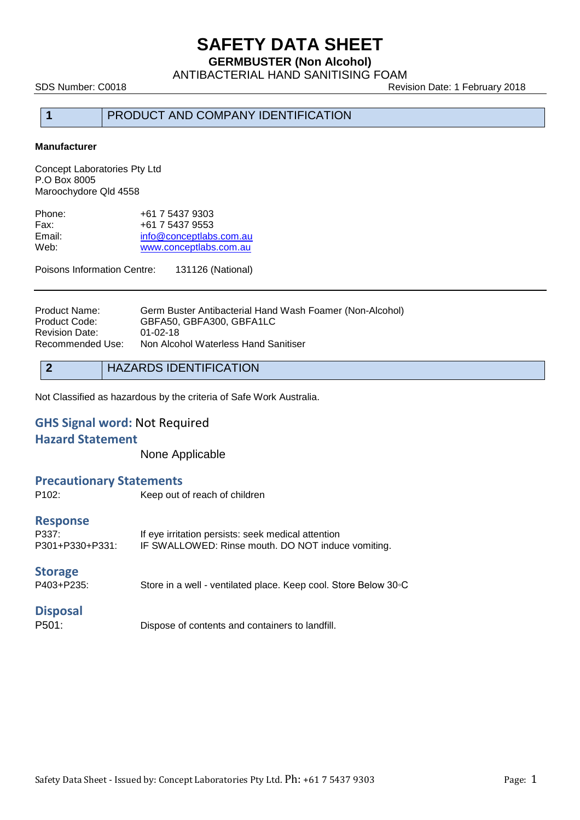**GERMBUSTER (Non Alcohol)**

ANTIBACTERIAL HAND SANITISING FOAM

SDS Number: C0018 **Review Accord 2018** Revision Date: 1 February 2018

## **1** PRODUCT AND COMPANY IDENTIFICATION

### **Manufacturer**

Concept Laboratories Pty Ltd P.O Box 8005 Maroochydore Qld 4558

| +61 7 5437 9303         |
|-------------------------|
| +61 7 5437 9553         |
| info@conceptlabs.com.au |
| www.conceptlabs.com.au  |
|                         |

Poisons Information Centre: 131126 (National)

Product Name: Germ Buster Antibacterial Hand Wash Foamer (Non-Alcohol)<br>Product Code: GBFA50, GBFA300, GBFA1LC GBFA50, GBFA300, GBFA1LC<br>01-02-18 Revision Date: Recommended Use: Non Alcohol Waterless Hand Sanitiser

Not Classified as hazardous by the criteria of Safe Work Australia.

## **GHS Signal word:** Not Required

### **Hazard Statement**

None Applicable

### **Precautionary Statements**

| P <sub>102</sub> :                          | Keep out of reach of children                                                                            |
|---------------------------------------------|----------------------------------------------------------------------------------------------------------|
| <b>Response</b><br>P337:<br>P301+P330+P331: | If eye irritation persists: seek medical attention<br>IF SWALLOWED: Rinse mouth. DO NOT induce vomiting. |
| <b>Storage</b><br>P403+P235:                | Store in a well - ventilated place. Keep cool. Store Below 30 °C                                         |
| <b>Disposal</b>                             |                                                                                                          |

P501: Dispose of contents and containers to landfill.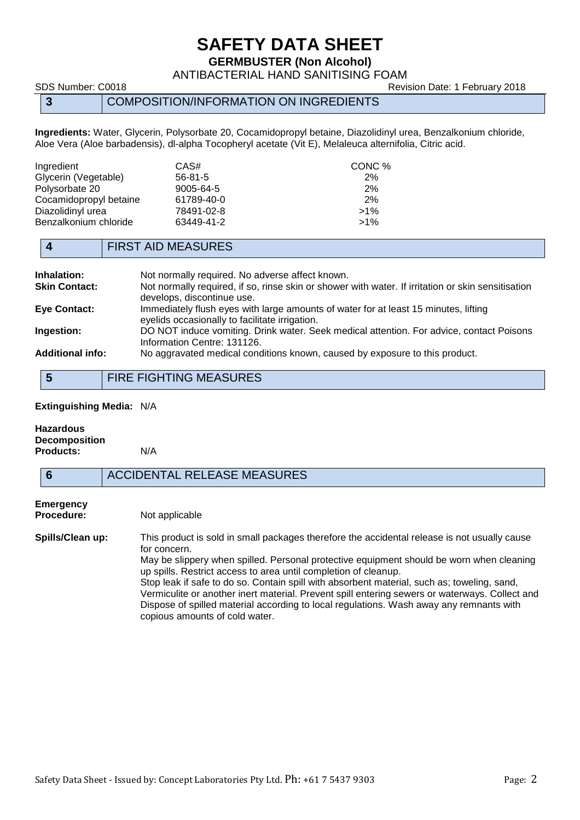**GERMBUSTER (Non Alcohol)**

ANTIBACTERIAL HAND SANITISING FOAM

### **3** COMPOSITION/INFORMATION ON INGREDIENTS

**Ingredients:** Water, Glycerin, Polysorbate 20, Cocamidopropyl betaine, Diazolidinyl urea, Benzalkonium chloride, Aloe Vera (Aloe barbadensis), dl-alpha Tocopheryl acetate (Vit E), Melaleuca alternifolia, Citric acid.

| Ingredient             | CAS#          | CONC % |
|------------------------|---------------|--------|
| Glycerin (Vegetable)   | $56 - 81 - 5$ | 2%     |
| Polysorbate 20         | 9005-64-5     | 2%     |
| Cocamidopropyl betaine | 61789-40-0    | 2%     |
| Diazolidinyl urea      | 78491-02-8    | $>1\%$ |
| Benzalkonium chloride  | 63449-41-2    | $>1\%$ |

## **4** FIRST AID MEASURES

| <b>Inhalation:</b>      | Not normally required. No adverse affect known.                                                                                       |
|-------------------------|---------------------------------------------------------------------------------------------------------------------------------------|
| <b>Skin Contact:</b>    | Not normally required, if so, rinse skin or shower with water. If irritation or skin sensitisation<br>develops, discontinue use.      |
| <b>Eye Contact:</b>     | Immediately flush eyes with large amounts of water for at least 15 minutes, lifting<br>eyelids occasionally to facilitate irrigation. |
| Ingestion:              | DO NOT induce vomiting. Drink water. Seek medical attention. For advice, contact Poisons<br>Information Centre: 131126.               |
| <b>Additional info:</b> | No aggravated medical conditions known, caused by exposure to this product.                                                           |

**5** FIRE FIGHTING MEASURES

#### **Extinguishing Media:** N/A

| <b>Hazardous</b>     |  |
|----------------------|--|
| <b>Decomposition</b> |  |
| <b>Products:</b>     |  |

#### **Products:** N/A

### **6** ACCIDENTAL RELEASE MEASURES

# **Emergency**

**Procedure:** Not applicable

**Spills/Clean up:** This product is sold in small packages therefore the accidental release is not usually cause for concern. May be slippery when spilled. Personal protective equipment should be worn when cleaning

up spills. Restrict access to area until completion of cleanup. Stop leak if safe to do so. Contain spill with absorbent material, such as; toweling, sand, Vermiculite or another inert material. Prevent spill entering sewers or waterways. Collect and Dispose of spilled material according to local regulations. Wash away any remnants with copious amounts of cold water.

SDS Number: C0018 **Revision Date: 1 February 2018** Revision Date: 1 February 2018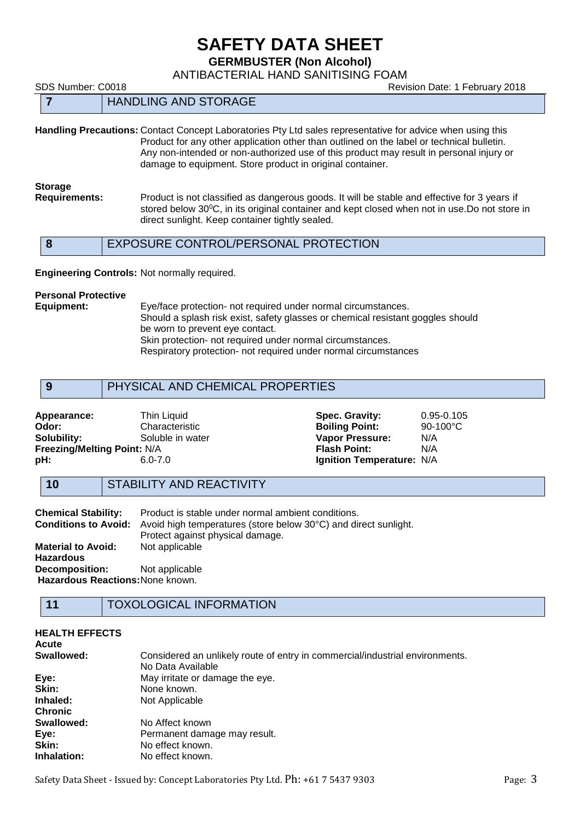**GERMBUSTER (Non Alcohol)**

ANTIBACTERIAL HAND SANITISING FOAM

SDS Number: C0018 Revision Date: 1 February 2018

| . |                             | ________ | ____ |  |
|---|-----------------------------|----------|------|--|
|   | <b>HANDLING AND STORAGE</b> |          |      |  |

**Handling Precautions:** Contact Concept Laboratories Pty Ltd sales representative for advice when using this Product for any other application other than outlined on the label or technical bulletin. Any non-intended or non-authorized use of this product may result in personal injury or damage to equipment. Store product in original container.

**Storage Requirements:** Product is not classified as dangerous goods. It will be stable and effective for 3 years if stored below 30<sup>o</sup>C, in its original container and kept closed when not in use.Do not store in direct sunlight. Keep container tightly sealed.

| EXPOSURE CONTROL/PERSONAL PROTECTION |
|--------------------------------------|
|--------------------------------------|

**Engineering Controls:** Not normally required.

# **Personal Protective**

Eye/face protection- not required under normal circumstances. Should a splash risk exist, safety glasses or chemical resistant goggles should be worn to prevent eye contact. Skin protection- not required under normal circumstances. Respiratory protection- not required under normal circumstances

| PHYSICAL AND CHEMICAL PROPERTIES |
|----------------------------------|
|----------------------------------|

| Appearance:                 | Thin Liquid      | Spec. Gravity:            | $0.95 - 0.105$     |
|-----------------------------|------------------|---------------------------|--------------------|
| Odor:                       | Characteristic   | <b>Boiling Point:</b>     | $90-100^{\circ}$ C |
| Solubility:                 | Soluble in water | <b>Vapor Pressure:</b>    | N/A                |
| Freezing/Melting Point: N/A |                  | <b>Flash Point:</b>       | N/A                |
| pH:                         | 6.0-7.0          | Ignition Temperature: N/A |                    |

### **10** STABILITY AND REACTIVITY

| <b>Chemical Stability:</b>       | Product is stable under normal ambient conditions.              |
|----------------------------------|-----------------------------------------------------------------|
| <b>Conditions to Avoid:</b>      | Avoid high temperatures (store below 30°C) and direct sunlight. |
|                                  | Protect against physical damage.                                |
| <b>Material to Avoid:</b>        | Not applicable                                                  |
| <b>Hazardous</b>                 |                                                                 |
| <b>Decomposition:</b>            | Not applicable                                                  |
| Hazardous Reactions: None known. |                                                                 |

## **11** TOXOLOGICAL INFORMATION

| <b>HEALTH EFFECTS</b><br><b>Acute</b> |                                                                                                   |
|---------------------------------------|---------------------------------------------------------------------------------------------------|
| Swallowed:                            | Considered an unlikely route of entry in commercial/industrial environments.<br>No Data Available |
| Eye:                                  | May irritate or damage the eye.                                                                   |
| Skin:                                 | None known.                                                                                       |
| Inhaled:                              | Not Applicable                                                                                    |
| <b>Chronic</b>                        |                                                                                                   |
| Swallowed:                            | No Affect known                                                                                   |
| Eye:                                  | Permanent damage may result.                                                                      |
| Skin:                                 | No effect known.                                                                                  |
| Inhalation:                           | No effect known.                                                                                  |